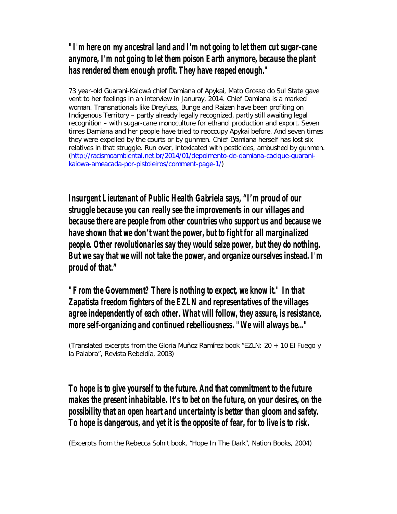### *"I'm here on my ancestral land and I'm not going to let them cut sugar-cane anymore, I'm not going to let them poison Earth anymore, because the plant has rendered them enough profit. They have reaped enough."*

73 year-old Guarani-Kaiowá chief Damiana of Apykai, Mato Grosso do Sul State gave vent to her feelings in an interview in Januray, 2014. Chief Damiana is a marked woman. Transnationals like Dreyfuss, Bunge and Raizen have been profiting on Indigenous Territory – partly already legally recognized, partly still awaiting legal recognition – with sugar-cane monoculture for ethanol production and export. Seven times Damiana and her people have tried to reoccupy Apykai before. And seven times they were expelled by the courts or by gunmen. Chief Damiana herself has lost six relatives in that struggle. Run over, intoxicated with pesticides, ambushed by gunmen. (http://racismoambiental.net.br/2014/01/depoimento-de-damiana-cacique-guaranikaiowa-ameacada-por-pistoleiros/comment-page-1/)

*Insurgent Lieutenant of Public Health Gabriela says, "I'm proud of our struggle because you can really see the improvements in our villages and because there are people from other countries who support us and because we have shown that we don't want the power, but to fight for all marginalized people. Other revolutionaries say they would seize power, but they do nothing. But we say that we will not take the power, and organize ourselves instead. I'm proud of that."*

*"From the Government? There is nothing to expect, we know it." In that Zapatista freedom fighters of the EZLN and representatives of the villages agree independently of each other. What will follow, they assure, is resistance, more self-organizing and continued rebelliousness. "We will always be..."*

(Translated excerpts from the Gloria Muñoz Ramírez book "*EZLN: 20 + 10 El Fuego y la Palabra*", Revista Rebeldía, 2003)

## *To hope is to give yourself to the future. And that commitment to the future makes the present inhabitable. It's to bet on the future, on your desires, on the possibility that an open heart and uncertainty is better than gloom and safety. To hope is dangerous, and yet it is the opposite of fear, for to live is to risk.*

(Excerpts from the Rebecca Solnit book, "*Hope In The Dark*", Nation Books, 2004)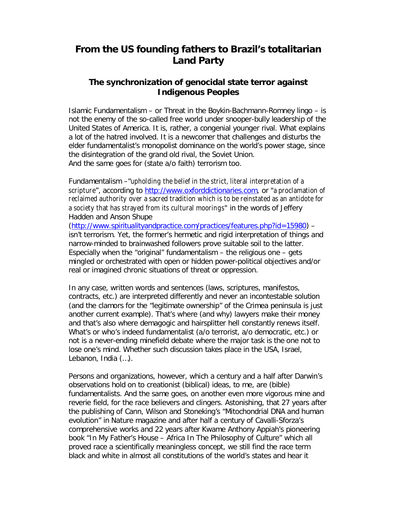# **From the US founding fathers to Brazil's totalitarian Land Party**

#### **The synchronization of genocidal state terror against Indigenous Peoples**

Islamic Fundamentalism – or *Threat* in the Boykin-Bachmann-Romney lingo – is not the enemy of the so-called free world under snooper-bully leadership of the United States of America. It is, rather, a congenial younger rival. What explains a lot of the hatred involved. It is a newcomer that challenges and disturbs the elder fundamentalist's monopolist dominance on the world's power stage, since the disintegration of the grand old rival, the Soviet Union. And the same goes for (state a/o faith) *terrorism* too.

Fundamentalism –*"*upholding the belief in the strict, literal interpretation of a scripture", according to http://www.oxforddictionaries.com, or "a proclamation of reclaimed authority over a sacred tradition which is to be reinstated as an antidote for a society that has strayed from its cultural moorings" in the words of Jeffery Hadden and Anson Shupe

(http://www.spiritualityandpractice.com/practices/features.php?id=15980) – isn't terrorism. Yet, the former's hermetic and rigid interpretation of things and narrow-minded to brainwashed followers prove suitable soil to the latter. Especially when the "original" fundamentalism – the religious one – gets mingled or orchestrated with open or hidden power-political objectives and/or real or imagined chronic situations of threat or oppression.

In any case, written words and sentences (*laws, scriptures, manifestos, contracts, etc.*) are interpreted differently and never an incontestable solution (and the clamors for the "legitimate ownership" of the Crimea peninsula is just another current example). That's where (and why) lawyers make their money and that's also where demagogic and hairsplitter hell constantly renews itself. What's or who's indeed fundamentalist (a/o terrorist, a/o democratic, etc.) or not is a never-ending minefield debate where the major task is the one not to lose one's mind. Whether such discussion takes place in the USA, Israel, Lebanon, India (…).

Persons and organizations, however, which a century and a half after Darwin's observations hold on to creationist (biblical) ideas, *to me*, are (bible) fundamentalists. And the same goes, on another even more vigorous mine and reverie field, for the race believers and clingers. Astonishing, that 27 years after the publishing of Cann, Wilson and Stoneking's "*Mitochondrial DNA and human evolution*" in Nature magazine and after half a century of Cavalli-Sforza's comprehensive works and 22 years after Kwame Anthony Appiah's pioneering book "*In My Father's House – Africa In The Philosophy of Culture*" which all proved *race* a scientifically meaningless concept, we still find the race term black and white in almost all constitutions of the world's states and hear it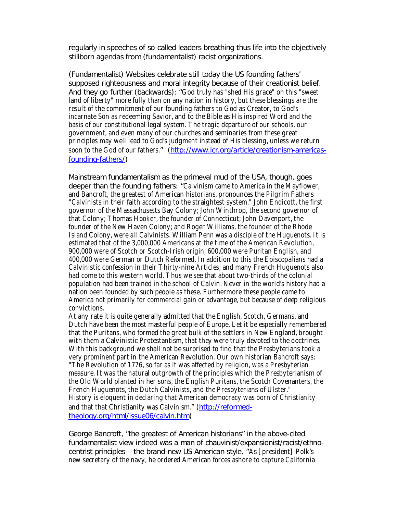regularly in speeches of so-called leaders breathing thus life into the objectively stillborn agendas from (fundamentalist) racist organizations.

(Fundamentalist) Websites celebrate still *today* the US founding fathers' supposed righteousness and moral integrity because of their creationist belief. And they go further (backwards): "God truly has "shed His grace" on this "sweet land of liberty" more fully than on any nation in history, but these blessings are the result of the commitment of our founding fathers to God as Creator, to God's incarnate Son as redeeming Savior, and to the Bible as His inspired Word and the basis of our constitutional legal system. The tragic departure of our schools, our government, and even many of our churches and seminaries from these great principles may well lead to God's judgment instead of His blessing, unless we return soon to the God of our fathers." (http://www.icr.org/article/creationism-americasfounding-fathers/)

Mainstream fundamentalism as the primeval mud of the USA, though, goes deeper than the founding fathers: "Calvinism came to America in the Mayflower, and Bancroft, the greatest of American historians, pronounces the Pilgrim Fathers "Calvinists in their faith according to the straightest system." John Endicott, the first governor of the Massachusetts Bay Colony; John Winthrop, the second governor of that Colony; Thomas Hooker, the founder of Connecticut; John Davenport, the founder of the New Haven Colony; and Roger Williams, the founder of the Rhode Island Colony, were all Calvinists. William Penn was a disciple of the Huguenots. It is estimated that of the 3,000,000 Americans at the time of the American Revolution, 900,000 were of Scotch or Scotch-Irish origin, 600,000 were Puritan English, and 400,000 were German or Dutch Reformed. In addition to this the Episcopalians had a Calvinistic confession in their Thirty-nine Articles; and many French Huguenots also had come to this western world. Thus we see that about two-thirds of the colonial population had been trained in the school of Calvin. Never in the world's history had a nation been founded by such people as these. Furthermore these people came to America not primarily for commercial gain or advantage, but because of deep religious convictions.

At any rate it is quite generally admitted that the English, Scotch, Germans, and Dutch have been the most masterful people of Europe. Let it be especially remembered that the Puritans, who formed the great bulk of the settlers in New England, brought with them a Calvinistic Protestantism, that they were truly devoted to the doctrines. With this background we shall not be surprised to find that the Presbyterians took a very prominent part in the American Revolution. Our own historian Bancroft says:

"The Revolution of 1776, so far as it was affected by religion, was a Presbyterian measure. It was the natural outgrowth of the principles which the Presbyterianism of the Old World planted in her sons, the English Puritans, the Scotch Covenanters, the French Huguenots, the Dutch Calvinists, and the Presbyterians of Ulster." History is eloquent in declaring that American democracy was born of Christianity and that that Christianity was Calvinism." (http://reformedtheology.org/html/issue06/calvin.htm)

George Bancroft, "the greatest of American historians" in the above-cited fundamentalist view indeed was a man of *chauvinist/expansionist/racist/ethnocentrist* principles – the brand-new US American style. "As [president] Polk's new secretary of the navy, he ordered American forces ashore to capture California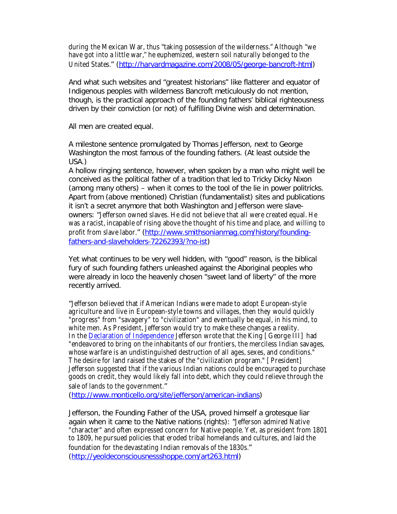during the Mexican War, thus "taking possession of the wilderness." Although "we have got into a little war," he euphemized, western soil naturally belonged to the United States." (http://harvardmagazine.com/2008/05/george-bancroft-html)

And what such websites and "greatest historians" like flatterer and equator of Indigenous peoples with wilderness Bancroft meticulously do not mention, though, is the *practical approach* of the founding fathers' biblical righteousness driven by their conviction (or not) of fulfilling Divine wish and determination.

#### *All men are created equal.*

A milestone sentence promulgated by Thomas Jefferson, next to George Washington the most famous of the founding fathers. (At least outside the USA.)

A hollow ringing sentence, however, when spoken by a man who might well be conceived as the political father of a tradition that led to Tricky Dicky Nixon (among many others) – when it comes to the tool of the lie in power politricks. Apart from (above mentioned) Christian (fundamentalist) sites and publications it isn't a secret anymore that both Washington and Jefferson were slaveowners: "Jefferson owned slaves. He did not believe that all were created equal. He was a racist, incapable of rising above the thought of his time and place, and willing to profit from slave labor." (http://www.smithsonianmag.com/history/foundingfathers-and-slaveholders-72262393/?no-ist)

Yet what *continues* to be very well hidden, with "good" reason, is the biblical fury of such founding fathers unleashed against the Aboriginal peoples who were already in loco the heavenly chosen "sweet land of liberty" of the more recently arrived.

"Jefferson believed that if American Indians were made to adopt European-style agriculture and live in European-style towns and villages, then they would quickly "progress" from "savagery" to "civilization" and eventually be equal, in his mind, to white men. As President, Jefferson would try to make these changes a reality. In the Declaration of Independence Jefferson wrote that the King [George III] had "endeavored to bring on the inhabitants of our frontiers, the merciless Indian savages, whose warfare is an undistinguished destruction of all ages, sexes, and conditions." The desire for land raised the stakes of the "civilization program." [President] Jefferson suggested that if the various Indian nations could be encouraged to purchase goods on credit, they would likely fall into debt, which they could relieve through the sale of lands to the government."

(http://www.monticello.org/site/jefferson/american-indians)

Jefferson, *the* Founding Father of the USA, proved himself a grotesque liar again when it came to the Native nations (rights): "Jefferson admired Native "character" and often expressed concern for Native people. Yet, as president from 1801 to 1809, he pursued policies that eroded tribal homelands and cultures, and laid the foundation for the devastating Indian removals of the 1830s." (http://yeoldeconsciousnessshoppe.com/art263.html)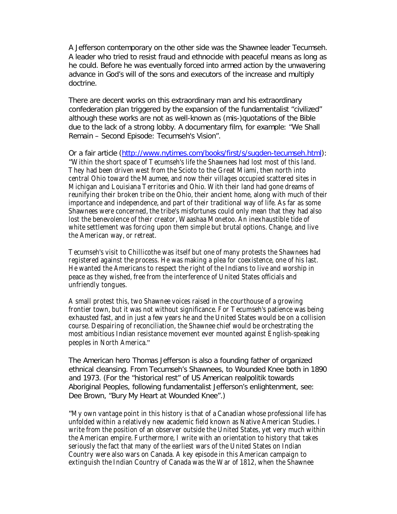A Jefferson contemporary on the *other* side was the Shawnee leader Tecumseh. A leader who tried to resist fraud and ethnocide with peaceful means as long as he could. Before he was eventually forced into armed action by the unwavering advance *in God's will* of the sons and executors of the increase and multiply doctrine.

There are decent works on this extraordinary man and his extraordinary confederation plan triggered by the expansion of the fundamentalist "civilized" although these works are not as well-known as (mis-)quotations of the Bible due to the lack of a strong lobby. A documentary film, for example: "*We Shall Remain – Second Episode: Tecumseh's Vision*".

Or a fair article (http://www.nytimes.com/books/first/s/sugden-tecumseh.html): "Within the short space of Tecumseh's life the Shawnees had lost most of this land. They had been driven west from the Scioto to the Great Miami, then north into central Ohio toward the Maumee, and now their villages occupied scattered sites in Michigan and Louisiana Territories and Ohio. With their land had gone dreams of reunifying their broken tribe on the Ohio, their ancient home, along with much of their importance and independence, and part of their traditional way of life. As far as some Shawnees were concerned, the tribe's misfortunes could only mean that they had also lost the benevolence of their creator, Waashaa Monetoo. An inexhaustible tide of white settlement was forcing upon them simple but brutal options. Change, and live the American way, or retreat.

Tecumseh's visit to Chillicothe was itself but one of many protests the Shawnees had registered against the process. He was making a plea for coexistence, one of his last. He wanted the Americans to respect the right of the Indians to live and worship in peace as they wished, free from the interference of United States officials and unfriendly tongues.

A small protest this, two Shawnee voices raised in the courthouse of a growing frontier town, but it was not without significance. For Tecumseh's patience was being exhausted fast, and in just a few years he and the United States would be on a collision course. Despairing of reconciliation, the Shawnee chief would be orchestrating the most ambitious Indian resistance movement ever mounted against English-speaking peoples in North America."

The American hero Thomas Jefferson is also a founding father of organized ethnical cleansing. From Tecumseh's Shawnees, to Wounded Knee both in 1890 and 1973. (For the "historical rest" of US American realpolitik towards Aboriginal Peoples, following fundamentalist Jefferson's enlightenment, see: Dee Brown, "*Bury My Heart at Wounded Knee*".)

"My own vantage point in this history is that of a Canadian whose professional life has unfolded within a relatively new academic field known as Native American Studies. I write from the position of an observer outside the United States, yet very much within the American empire. Furthermore, I write with an orientation to history that takes seriously the fact that many of the earliest wars of the United States on Indian Country were also wars on Canada. A key episode in this American campaign to extinguish the Indian Country of Canada was the War of 1812, when the Shawnee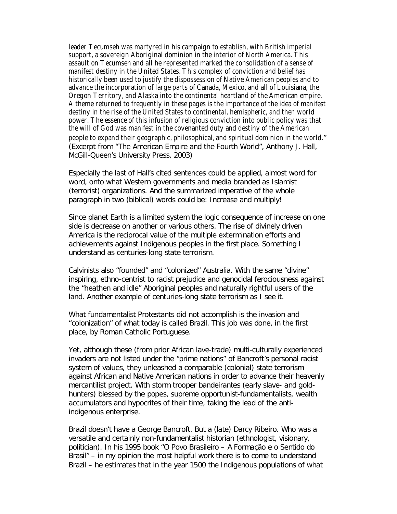leader Tecumseh was martyred in his campaign to establish, with British imperial support, a sovereign Aboriginal dominion in the interior of North America. This assault on Tecumseh and all he represented marked the consolidation of a sense of manifest destiny in the United States. This complex of conviction and belief has historically been used to justify the dispossession of Native American peoples and to advance the incorporation of large parts of Canada, Mexico, and all of Louisiana, the Oregon Territory, and Alaska into the continental heartland of the American empire. A theme returned to frequently in these pages is the importance of the idea of manifest destiny in the rise of the United States to continental, hemispheric, and then world power. The essence of this infusion of religious conviction into public policy was that the will of God was manifest in the covenanted duty and destiny of the American people to expand their geographic, philosophical, and spiritual dominion in the world." (Excerpt from "*The American Empire and the Fourth World*", Anthony J. Hall, McGill-Queen's University Press, 2003)

Especially the last of Hall's cited sentences could be applied, almost word for word, onto what Western governments and media branded as Islamist (terrorist) organizations. And the summarized imperative of the whole paragraph in two (biblical) words could be: *Increase and multiply!*

Since planet Earth is a limited system the logic consequence of increase on one side is decrease on another or various others. The rise of divinely driven America is the reciprocal value of the multiple extermination efforts and achievements against Indigenous peoples in the first place. Something I understand as *centuries-long state terrorism*.

Calvinists also "founded" and "colonized" Australia. With the same "divine" inspiring, ethno-centrist to racist prejudice and genocidal ferociousness against the "heathen and idle" Aboriginal peoples and naturally rightful users of the land. Another example of *centuries-long state terrorism* as I see it.

What fundamentalist Protestants did *not* accomplish is the invasion and "colonization" of what today is called Brazil. This job was done, in the first place, by Roman Catholic Portuguese.

Yet, although these (from prior African lave-trade) multi-culturally experienced invaders are not listed under the "prime nations" of Bancroft's personal racist system of values, they unleashed a comparable (colonial) state terrorism against African and Native American nations in order to advance *their* heavenly mercantilist project. With storm trooper *bandeirantes* (early slave- and goldhunters) blessed by the popes, supreme opportunist-fundamentalists, wealth accumulators and hypocrites of *their* time, taking the lead of the antiindigenous enterprise.

Brazil doesn't have a George Bancroft. But a (late) Darcy Ribeiro. Who was a versatile and certainly non-fundamentalist historian (ethnologist, visionary, politician). In his 1995 book "*O Povo Brasileiro – A Formação e o Sentido do Brasil*" – in my opinion the most helpful work there is to come to understand Brazil – he estimates that in the year 1500 the Indigenous populations of what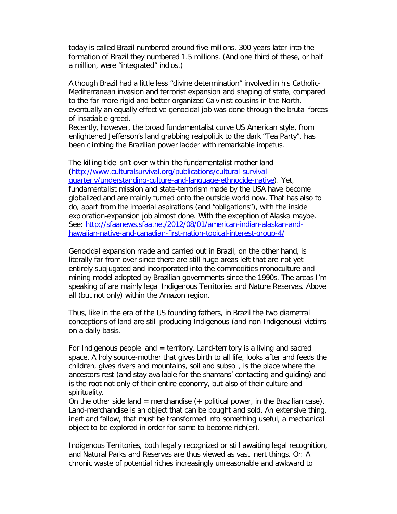today is called Brazil numbered around five millions. 300 years later into the formation of Brazil they numbered 1.5 millions. (And one third of these, or half a million, were "integrated" *índios*.)

Although Brazil had a little less "divine determination" involved in his Catholic-Mediterranean invasion and terrorist expansion and shaping of state, compared to the far more rigid and better organized Calvinist cousins in the North, eventually an equally effective genocidal job was done through the brutal forces of insatiable greed.

Recently, however, the broad fundamentalist curve US American style, from enlightened Jefferson's land grabbing realpolitik to the dark "Tea Party", has been climbing the Brazilian power ladder with remarkable impetus.

The killing tide isn't over within the fundamentalist mother land (http://www.culturalsurvival.org/publications/cultural-survivalquarterly/understanding-culture-and-language-ethnocide-native). Yet, fundamentalist mission and state-terrorism made by the USA have become globalized and are mainly turned onto the outside world now. That has also to do, apart from the imperial aspirations (and "obligations"), with the inside exploration-expansion job almost done. With the exception of Alaska maybe. See: http://sfaanews.sfaa.net/2012/08/01/american-indian-alaskan-andhawaiian-native-and-canadian-first-nation-topical-interest-group-4/

Genocidal expansion made and carried out in Brazil, on the other hand, is literally far from over since there are still huge areas left that are not yet entirely subjugated and incorporated into the commodities monoculture and mining model adopted by Brazilian governments since the 1990s. The areas I'm speaking of are mainly legal Indigenous Territories and Nature Reserves. Above all (but not only) within the Amazon region.

Thus, like in the era of the US founding fathers, in Brazil the two diametral conceptions of land are still producing Indigenous (and non-Indigenous) victims on a daily basis.

For Indigenous people land  $=$  territory. Land-territory is a living and sacred space. A holy source-mother that gives birth to all life, looks after and feeds the children, gives rivers and mountains, soil and subsoil, is the place where the ancestors rest (and stay available for the shamans' contacting and guiding) and is the root not only of their entire economy, but also of their culture and spirituality.

On the other side land  $=$  merchandise  $(+)$  political power, in the Brazilian case). Land-merchandise is an object that can be bought and sold. An extensive *thing*, inert and fallow, that must be transformed into something useful, a mechanical object to be explored in order for some to become rich(er).

Indigenous Territories, both legally recognized or still awaiting legal recognition, and Natural Parks and Reserves are thus viewed as vast inert things. Or: A chronic waste of potential riches increasingly unreasonable and awkward to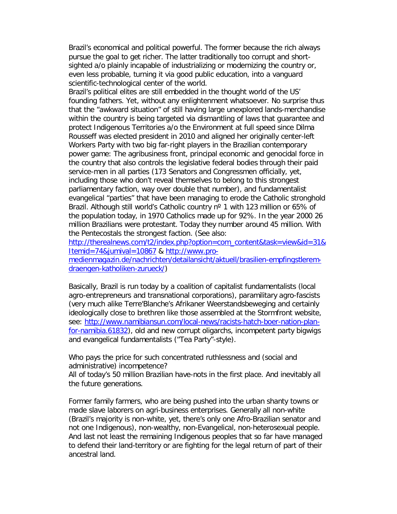Brazil's economical and political powerful. The former because the rich always pursue the goal to get richer. The latter traditionally too corrupt and shortsighted a/o plainly incapable of industrializing or modernizing the country or, even less probable, turning it via good public education, into a vanguard scientific-technological center of the world.

Brazil's political elites are still embedded in the thought world of the US' founding fathers. Yet, without any enlightenment whatsoever. No surprise thus that the "awkward situation" of still having large unexplored lands-merchandise within the country is being targeted via dismantling of laws that guarantee and protect Indigenous Territories a/o the Environment at full speed since Dilma Rousseff was elected president in 2010 and aligned her originally center-left Workers Party with two big far-right players in the Brazilian contemporary power game: The agribusiness front, principal economic and genocidal force in the country that also controls the legislative federal bodies through their paid service-men in all parties (173 Senators and Congressmen officially, yet, including those who don't reveal themselves to belong to this strongest parliamentary faction, way over double that number), and fundamentalist evangelical "parties" that have been managing to erode the Catholic stronghold Brazil. Although still world's Catholic country n<sup>o</sup> 1 with 123 million or 65% of the population today, in 1970 Catholics made up for 92%. In the year 2000 26 million Brazilians were protestant. Today they number around 45 million. With the Pentecostals the strongest faction. (See also:

http://therealnews.com/t2/index.php?option=com\_content&task=view&id=31& Itemid=74&jumival=10867 & http://www.pro-

medienmagazin.de/nachrichten/detailansicht/aktuell/brasilien-empfingstleremdraengen-katholiken-zurueck/)

Basically, Brazil is run today by a coalition of capitalist fundamentalists (local agro-entrepreneurs and transnational corporations), paramilitary agro-fascists (very much alike Terre'Blanche's *Afrikaner Weerstandsbeweging* and certainly ideologically close to brethren like those assembled at the *Stormfront website*, see: http://www.namibiansun.com/local-news/racists-hatch-boer-nation-planfor-namibia.61832), old and new corrupt oligarchs, incompetent party bigwigs and evangelical fundamentalists ("Tea Party"-style).

Who pays the price for such concentrated ruthlessness and (social and administrative) incompetence?

All of today's 50 million Brazilian have-nots in the first place. And inevitably all the future generations.

Former family farmers, who are being pushed into the urban shanty towns or made slave laborers on agri-business enterprises. Generally all non-white (Brazil's majority is non-white, yet, there's only one Afro-Brazilian senator and not one Indigenous), non-wealthy, non-Evangelical, non-heterosexual people. And last not least the remaining Indigenous peoples that so far have managed to defend their land-territory or are fighting for the legal return of part of their ancestral land.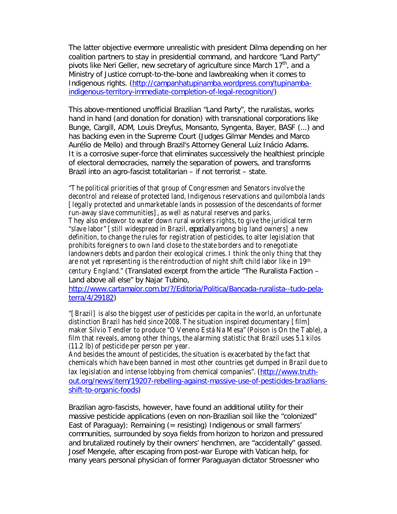The latter objective evermore unrealistic with president Dilma depending on her coalition partners to stay in presidential command, and hardcore "Land Party" pivots like Neri Geller, new secretary of agriculture since March 17<sup>th</sup>, and a Ministry of Justice corrupt-to-the-bone and lawbreaking when it comes to Indigenous rights. (http://campanhatupinamba.wordpress.com/tupinambaindigenous-territory-immediate-completion-of-legal-recognition/)

This above-mentioned unofficial Brazilian "Land Party", the *ruralistas*, works hand in hand (and donation for donation) with transnational corporations like Bunge, Cargill, ADM, Louis Dreyfus, Monsanto, Syngenta, Bayer, BASF (...) and has backing even in the Supreme Court (Judges Gilmar Mendes and Marco Aurélio de Mello) and through Brazil's Attorney General Luiz Inácio Adams. It is a corrosive super-force that eliminates successively the healthiest principle of electoral democracies, namely the separation of powers, and transforms Brazil into an agro-fascist totalitarian – if not terrorist – state.

"The political priorities of that group of Congressmen and Senators involve the decontrol and release of protected land, Indigenous reservations and quilombola lands [legally protected and unmarketable lands in possession of the descendants of former run-away slave communities], as well as natural reserves and parks. They also endeavor to water down rural workers rights, to give the juridical term "slave labor" [still widespread in Brazil, *especially* among big land owners] a new definition, to change the rules for registration of pesticides, to alter legislation that prohibits foreigners to own land close to the state borders and to renegotiate landowners debts and pardon their ecological crimes. I think the only thing that they are not yet representing is the reintroduction of night shift child labor like in 19th century England." (Translated excerpt from the article "*The Ruralista Faction – Land above all else*" by Najar Tubino,

http://www.cartamaior.com.br/?/Editoria/Politica/Bancada-ruralista--tudo-pelaterra/4/29182)

"[Brazil] is also the biggest user of pesticides per capita in the world, an unfortunate distinction Brazil has held since 2008. The situation inspired documentary [film] maker Silvio Tendler to produce "O Veneno Está Na Mesa" (Poison is On the Table), a film that reveals, among other things, the alarming statistic that Brazil uses 5.1 kilos (11.2 lb) of pesticide per person per year.

And besides the amount of pesticides, the situation is exacerbated by the fact that chemicals which have been banned in most other countries get dumped in Brazil due to lax legislation and intense lobbying from chemical companies". (http://www.truthout.org/news/item/19207-rebelling-against-massive-use-of-pesticides-braziliansshift-to-organic-foods)

Brazilian agro-fascists, however, have found an additional utility for their massive pesticide applications (even on non-Brazilian soil like the "colonized" East of Paraguay): Remaining (= resisting) Indigenous or small farmers' communities, surrounded by soya fields from horizon to horizon and pressured and brutalized routinely by their owners' henchmen, are "accidentally" gassed. Josef Mengele, after escaping from post-war Europe with Vatican help, for many years personal physician of former Paraguayan dictator Stroessner who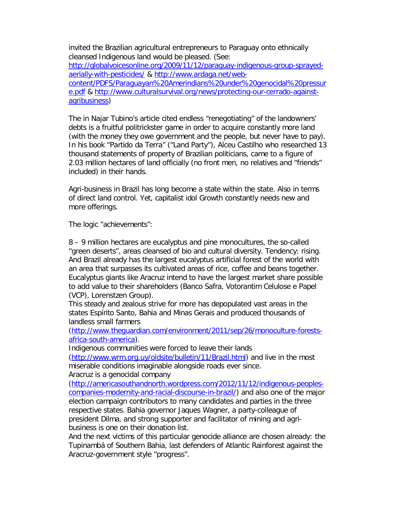invited the Brazilian agricultural entrepreneurs to Paraguay onto ethnically cleansed Indigenous land would be pleased. (See: http://globalvoicesonline.org/2009/11/12/paraguay-indigenous-group-sprayedaerially-with-pesticides/ & http://www.ardaga.net/webcontent/PDFS/Paraguayan%20Amerindians%20under%20genocidal%20pressur e.pdf & http://www.culturalsurvival.org/news/protecting-our-cerrado-againstagribusiness)

The in Najar Tubino's article cited endless "renegotiating" of the landowners' debts is a fruitful politrickster game in order to acquire constantly more land (with the money they owe government and the people, but never have to pay). In his book "*Partido da Terra*" ("*Land Party*"), Alceu Castilho who researched 13 thousand statements of property of Brazilian politicians, came to a figure of 2.03 million hectares of land officially (no front men, no relatives and "friends" included) in their hands.

Agri-business in Brazil has long become a state within the state. Also in terms of direct land control. Yet, capitalist idol Growth constantly needs new and more offerings.

The logic "achievements":

8 – 9 million hectares are eucalyptus and pine monocultures, the so-called "green deserts", areas cleansed of bio and cultural diversity. Tendency: rising. And Brazil already has the largest eucalyptus artificial forest of the world with an area that surpasses its cultivated areas of rice, coffee and beans together. Eucalyptus giants like Aracruz intend to have the largest market share possible to add value to their shareholders (Banco Safra, Votorantim Celulose e Papel (VCP), Lorenstzen Group).

This steady and zealous strive for *more* has depopulated vast areas in the states Espírito Santo, Bahia and Minas Gerais and produced thousands of landless small farmers

(http://www.theguardian.com/environment/2011/sep/26/monoculture-forestsafrica-south-america).

Indigenous communities were forced to leave their lands

(http://www.wrm.org.uy/oldsite/bulletin/11/Brazil.html) and live in the most miserable conditions imaginable alongside roads ever since. Aracruz is a genocidal company

(http://americasouthandnorth.wordpress.com/2012/11/12/indigenous-peoplescompanies-modernity-and-racial-discourse-in-brazil/) and also one of the major election campaign contributors to many candidates and parties in the three respective states. Bahia governor Jaques Wagner, a party-colleague of president Dilma, and strong supporter and facilitator of mining and agribusiness is one on their donation list.

And the next victims of this particular genocide alliance are chosen already: the Tupinambá of Southern Bahia, last defenders of Atlantic Rainforest against the Aracruz-government style "progress".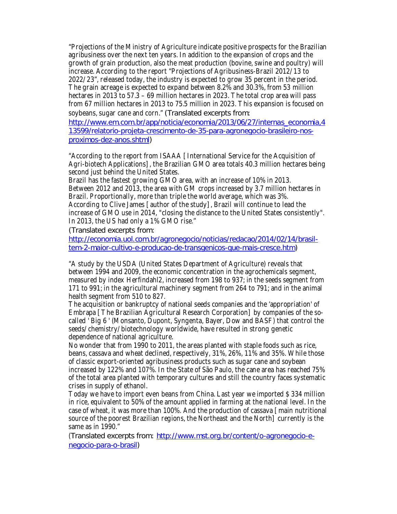"Projections of the Ministry of Agriculture indicate positive prospects for the Brazilian agribusiness over the next ten years. In addition to the expansion of crops and the growth of grain production, also the meat production (bovine, swine and poultry) will increase. According to the report "Projections of Agribusiness-Brazil 2012/13 to 2022/23", released today, the industry is expected to grow 35 percent in the period. The grain acreage is expected to expand between 8.2% and 30.3%, from 53 million hectares in 2013 to 57.3 – 69 million hectares in 2023. The total crop area will pass from 67 million hectares in 2013 to 75.5 million in 2023. This expansion is focused on soybeans, sugar cane and corn." (Translated excerpts from:

http://www.em.com.br/app/noticia/economia/2013/06/27/internas\_economia,4 13599/relatorio-projeta-crescimento-de-35-para-agronegocio-brasileiro-nosproximos-dez-anos.shtml)

"According to the report from ISAAA [International Service for the Acquisition of Agri-biotech Applications], the Brazilian GMO area totals 40.3 million hectares being second just behind the United States.

Brazil has the fastest growing GMO area, with an increase of 10% in 2013. Between 2012 and 2013, the area with GM crops increased by 3.7 million hectares in Brazil. Proportionally, more than triple the world average, which was 3%. According to Clive James [author of the study], Brazil will continue to lead the increase of GMO use in 2014, "closing the distance to the United States consistently". In 2013, the US had only a 1% GMO rise."

(Translated excerpts from:

http://economia.uol.com.br/agronegocio/noticias/redacao/2014/02/14/brasiltem-2-maior-cultivo-e-producao-de-transgenicos-que-mais-cresce.htm)

"A study by the USDA (United States Department of Agriculture) reveals that between 1994 and 2009, the economic concentration in the agrochemicals segment, measured by index Herfindahl2, increased from 198 to 937; in the seeds segment from 171 to 991; in the agricultural machinery segment from 264 to 791; and in the animal health segment from 510 to 827.

The acquisition or bankruptcy of national seeds companies and the 'appropriation' of Embrapa [The Brazilian Agricultural Research Corporation] by companies of the socalled ' Big 6 ' (Monsanto, Dupont, Syngenta, Bayer, Dow and BASF) that control the seeds/chemistry/biotechnology worldwide, have resulted in strong genetic dependence of national agriculture.

No wonder that from 1990 to 2011, the areas planted with staple foods such as rice, beans, cassava and wheat declined, respectively, 31%, 26%, 11% and 35%. While those of classic export-oriented agribusiness products such as sugar cane and soybean increased by 122% and 107%. In the State of São Paulo, the cane area has reached 75% of the total area planted with temporary cultures and still the country faces systematic crises in supply of ethanol.

Today we have to import even beans from China. Last year we imported \$ 334 million in rice, equivalent to 50% of the amount applied in farming at the national level. In the case of wheat, it was more than 100%. And the production of cassava [main nutritional source of the poorest Brazilian regions, the Northeast and the North] currently is the same as in 1990."

(Translated excerpts from: http://www.mst.org.br/content/o-agronegocio-enegocio-para-o-brasil)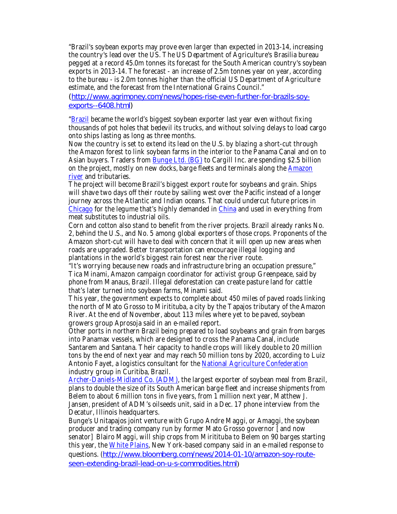"Brazil's soybean exports may prove even larger than expected in 2013-14, increasing the country's lead over the US. The US Department of Agriculture's Brasilia bureau pegged at a record 45.0m tonnes its forecast for the South American country's soybean exports in 2013-14. The forecast - an increase of 2.5m tonnes year on year, according to the bureau - is 2.0m tonnes higher than the official US Department of Agriculture estimate, and the forecast from the International Grains Council."

(http://www.agrimoney.com/news/hopes-rise-even-further-for-brazils-soyexports--6408.html)

"Brazil became the world's biggest soybean exporter last year even without fixing thousands of pot holes that bedevil its trucks, and without solving delays to load cargo onto ships lasting as long as three months.

Now the country is set to extend its lead on the U.S. by blazing a short-cut through the Amazon forest to link soybean farms in the interior to the Panama Canal and on to Asian buyers. Traders from **Bunge Ltd. (BG)** to Cargill Inc. are spending \$2.5 billion on the project, mostly on new docks, barge fleets and terminals along the Amazon river and tributaries.

The project will become Brazil's biggest export route for soybeans and grain. Ships will shave two days off their route by sailing west over the Pacific instead of a longer journey across the Atlantic and Indian oceans. That could undercut future prices in Chicago for the legume that's highly demanded in China and used in everything from meat substitutes to industrial oils.

Corn and cotton also stand to benefit from the river projects. Brazil already ranks No. 2, behind the U.S., and No. 5 among global exporters of those crops. Proponents of the Amazon short-cut will have to deal with concern that it will open up new areas when roads are upgraded. Better transportation can encourage illegal logging and plantations in the world's biggest rain forest near the river route.

"It's worrying because new roads and infrastructure bring an occupation pressure," Tica Minami, Amazon campaign coordinator for activist group Greenpeace, said by phone from Manaus, Brazil. Illegal deforestation can create pasture land for cattle that's later turned into soybean farms, Minami said.

This year, the government expects to complete about 450 miles of paved roads linking the north of Mato Grosso to Miritituba, a city by the Tapajos tributary of the Amazon River. At the end of November, about 113 miles where yet to be paved, soybean growers group Aprosoja said in an e-mailed report.

Other ports in northern Brazil being prepared to load soybeans and grain from barges into Panamax vessels, which are designed to cross the Panama Canal, include Santarem and Santana. Their capacity to handle crops will likely double to 20 million tons by the end of next year and may reach 50 million tons by 2020, according to Luiz Antonio Fayet, a logistics consultant for the National Agriculture Confederation industry group in Curitiba, Brazil.

Archer-Daniels-Midland Co. (ADM), the largest exporter of soybean meal from Brazil, plans to double the size of its South American barge fleet and increase shipments from Belem to about 6 million tons in five years, from 1 million next year, Matthew J. Jansen, president of ADM's oilseeds unit, said in a Dec. 17 phone interview from the Decatur, Illinois headquarters.

Bunge's Unitapajos joint venture with Grupo Andre Maggi, or Amaggi, the soybean producer and trading company run by former Mato Grosso governor [and now senator] Blairo Maggi, will ship crops from Miritituba to Belem on 90 barges starting this year, the White Plains, New York-based company said in an e-mailed response to questions. (http://www.bloomberg.com/news/2014-01-10/amazon-soy-routeseen-extending-brazil-lead-on-u-s-commodities.html)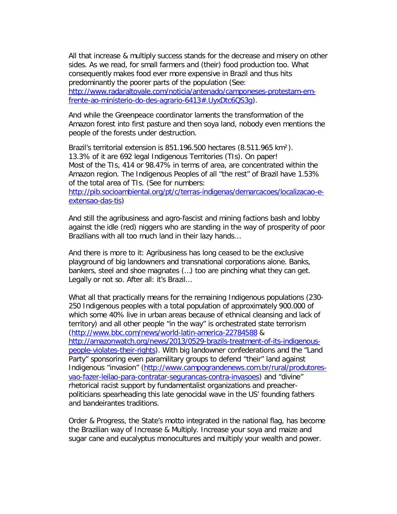All that *increase & multiply success* stands for the decrease and misery on other sides. As we read, for small farmers and (their) food production too. What consequently makes food ever more expensive in Brazil and thus hits predominantly the poorer parts of the population (See: http://www.radaraltovale.com/noticia/antenado/camponeses-protestam-emfrente-ao-ministerio-do-des-agrario-6413#.UyxDtc6QS3g).

And while the Greenpeace coordinator laments the transformation of the Amazon forest into first pasture and then soya land, nobody even mentions *the people* of the forests under destruction.

Brazil's territorial extension is 851.196.500 hectares (8.511.965 km²). 13.3% of it are 692 legal Indigenous Territories (TIs). On paper! Most of the TIs, 414 or 98.47% in terms of area, are concentrated within the Amazon region. The Indigenous Peoples of all "the rest" of Brazil have 1.53% of the total area of TIs. (See for numbers: http://pib.socioambiental.org/pt/c/terras-indigenas/demarcacoes/localizacao-eextensao-das-tis)

And still the agribusiness and agro-fascist and mining factions bash and lobby against the *idle (red) niggers* who are *standing in the way of prosperity of poor Brazilians* with all too much land in their lazy hands…

And there is more to it: Agribusiness has long ceased to be the exclusive playground of big landowners and transnational corporations alone. Banks, bankers, steel and shoe magnates (…) too are pinching what they can get. Legally or not so. After all: it's Brazil…

What all that practically means for the remaining Indigenous populations (230- 250 Indigenous peoples with a total population of approximately 900.000 of which some 40% live in urban areas *because* of ethnical cleansing and lack of territory) and all other people "in the way" is orchestrated *state terrorism* (http://www.bbc.com/news/world-latin-america-22784588 & http://amazonwatch.org/news/2013/0529-brazils-treatment-of-its-indigenouspeople-violates-their-rights). With big landowner confederations and the "Land Party" sponsoring even paramilitary groups to defend "their" land against Indigenous "invasion" (http://www.campograndenews.com.br/rural/produtoresvao-fazer-leilao-para-contratar-segurancas-contra-invasoes) and "divine" rhetorical racist support by fundamentalist organizations and preacherpoliticians spearheading this late genocidal wave in the US' founding fathers and *bandeirantes* traditions.

*Order & Progress*, the State's motto integrated in the national flag, has become the Brazilian way of *Increase & Multiply*. Increase your soya and maize and sugar cane and eucalyptus monocultures and multiply your wealth and power.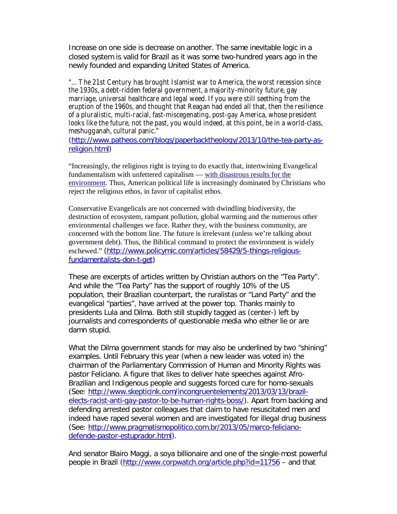Increase on one side is decrease on another. The same inevitable logic in a closed system is valid for Brazil as it was some two-hundred years ago in the newly founded and expanding United States of America.

"…The 21st Century has brought Islamist war to America, the worst recession since the 1930s, a debt-ridden federal government, a majority-minority future, gay marriage, universal healthcare and legal weed. If you were still seething from the eruption of the 1960s, and thought that Reagan had ended all that, then the resilience of a pluralistic, multi-racial, fast-miscegenating, post-gay America, whose president looks like the future, not the past, you would indeed, at this point, be in a world-class, meshugganah, cultural panic."

(http://www.patheos.com/blogs/paperbacktheology/2013/10/the-tea-party-asreligion.html)

"Increasingly, the religious right is trying to do exactly that, intertwining Evangelical fundamentalism with unfettered capitalism — with disastrous results for the environment. Thus, American political life is increasingly dominated by Christians who reject the religious ethos, in favor of capitalist ethos.

Conservative Evangelicals are not concerned with dwindling biodiversity, the destruction of ecosystem, rampant pollution, global warming and the numerous other environmental challenges we face. Rather they, with the business community, are concerned with the bottom line. The future is irrelevant (unless we're talking about government debt). Thus, the Biblical command to protect the environment is widely eschewed." (http://www.policymic.com/articles/58429/5-things-religiousfundamentalists-don-t-get)

These are excerpts of articles written by Christian authors on the "Tea Party". And while the "Tea Party" has the support of roughly 10% of the US population, their Brazilian counterpart, the *ruralistas* or "Land Party" and the evangelical "parties", have arrived at the power top. Thanks mainly to presidents Lula and Dilma. Both still stupidly tagged as (center-) left by journalists and correspondents of questionable media who either lie or are damn stupid.

What the Dilma government stands for may also be underlined by two "shining" examples. Until February this year (when a new leader was voted in) the chairman of the Parliamentary Commission of Human and Minority Rights was pastor Feliciano. A figure that likes to deliver hate speeches against Afro-Brazilian and Indigenous people and suggests forced *cure* for homo-sexuals (See: http://www.skepticink.com/incongruentelements/2013/03/13/brazilelects-racist-anti-gay-pastor-to-be-human-rights-boss/). Apart from backing and defending arrested pastor colleagues that claim to have resuscitated men and indeed have raped several women and are investigated for illegal drug business (See: http://www.pragmatismopolitico.com.br/2013/05/marco-felicianodefende-pastor-estuprador.html).

And senator Blairo Maggi, a soya billionaire and one of the single-most powerful people in Brazil (http://www.corpwatch.org/article.php?id=11756 – and that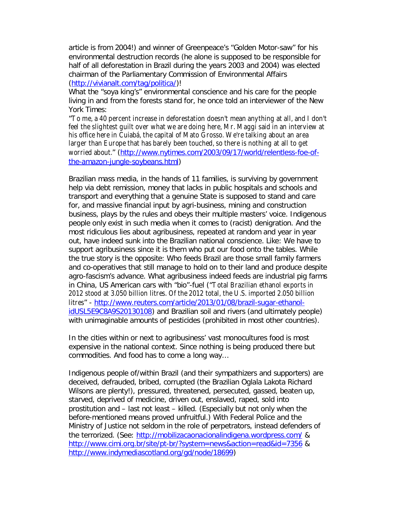article is from 2004!) and winner of Greenpeace's "Golden Motor-saw" for his environmental destruction records (he alone is supposed to be responsible for half of all deforestation in Brazil during the years 2003 and 2004) was elected chairman of the Parliamentary Commission of Environmental Affairs (http://vivianalt.com/tag/politica/)!

What the "soya king's" environmental conscience and his care for the people living in and from the forests stand for, he once told an interviewer of the New York Times:

"To me, a 40 percent increase in deforestation doesn't mean anything at all, and I don't feel the slightest guilt over what we are doing here, Mr. Maggi said in an interview at his office here in Cuiabá, the capital of Mato Grosso. We're talking about an area larger than Europe that has barely been touched, so there is nothing at all to get worried about." (http://www.nytimes.com/2003/09/17/world/relentless-foe-ofthe-amazon-jungle-soybeans.html)

Brazilian mass media, in the hands of 11 families, is surviving by government help via debt remission, money that lacks in public hospitals and schools and transport and everything that a genuine State is supposed to stand and care for, and massive financial input by agri-business, mining and construction business, plays by the rules and obeys their multiple masters' voice. Indigenous people only exist in such media when it comes to (racist) denigration. And the most ridiculous lies about agribusiness, repeated at random and year in year out, have indeed sunk into the Brazilian national conscience. Like: *We have to support agribusiness since it is them who put our food onto the tables.* While the true story is the opposite: Who feeds Brazil are those small family farmers and co-operatives that still manage to hold on to their land and produce *despite*  agro-fascism's advance. What agribusiness indeed feeds are industrial pig farms in China, US American cars with "bio"-fuel ("Total Brazilian ethanol exports in 2012 stood at 3.050 billion litres. Of the 2012 total, the U.S. imported 2.050 billion litres" - http://www.reuters.com/article/2013/01/08/brazil-sugar-ethanolidUSL5E9C8A9S20130108) and Brazilian soil and rivers (and ultimately people) with unimaginable amounts of pesticides (prohibited in most other countries).

In the cities within or next to agribusiness' vast monocultures food is most expensive in the national context. Since nothing is being produced there but commodities. And food has to come a long way…

Indigenous people of/within Brazil (and their sympathizers and supporters) are deceived, defrauded, bribed, corrupted (the *Brazilian* Oglala Lakota Richard Wilsons are plenty!), pressured, threatened, persecuted, gassed, beaten up, starved, deprived of medicine, driven out, enslaved, raped, sold into prostitution and – last not least – killed. (Especially but not only when the before-mentioned means proved unfruitful.) With Federal Police and the Ministry of Justice not seldom in the role of perpetrators, instead defenders of the terrorized. (See: http://mobilizacaonacionalindigena.wordpress.com/ & http://www.cimi.org.br/site/pt-br/?system=news&action=read&id=7356 & http://www.indymediascotland.org/gd/node/18699)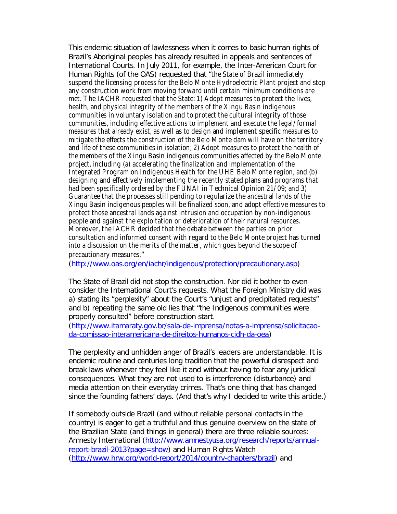This endemic situation of lawlessness when it comes to basic human rights of Brazil's Aboriginal peoples has already resulted in appeals and sentences of International Courts. In July 2011, for example, the Inter-American Court for Human Rights (of the OAS) requested that "the State of Brazil immediately suspend the licensing process for the Belo Monte Hydroelectric Plant project and stop any construction work from moving forward until certain minimum conditions are met. The IACHR requested that the State: 1) Adopt measures to protect the lives, health, and physical integrity of the members of the Xingu Basin indigenous communities in voluntary isolation and to protect the cultural integrity of those communities, including effective actions to implement and execute the legal/formal measures that already exist, as well as to design and implement specific measures to mitigate the effects the construction of the Belo Monte dam will have on the territory and life of these communities in isolation; 2) Adopt measures to protect the health of the members of the Xingu Basin indigenous communities affected by the Belo Monte project, including (a) accelerating the finalization and implementation of the Integrated Program on Indigenous Health for the UHE Belo Monte region, and (b) designing and effectively implementing the recently stated plans and programs that had been specifically ordered by the FUNAI in Technical Opinion 21/09; and 3) Guarantee that the processes still pending to regularize the ancestral lands of the Xingu Basin indigenous peoples will be finalized soon, and adopt effective measures to protect those ancestral lands against intrusion and occupation by non-indigenous people and against the exploitation or deterioration of their natural resources. Moreover, the IACHR decided that the debate between the parties on prior consultation and informed consent with regard to the Belo Monte project has turned into a discussion on the merits of the matter, which goes beyond the scope of

precautionary measures."

(http://www.oas.org/en/iachr/indigenous/protection/precautionary.asp)

The State of Brazil did *not* stop the construction. Nor did it bother to even consider the International Court's requests. What the Foreign Ministry did was a) stating its "perplexity" about the Court's "unjust and precipitated requests" and b) repeating the same old lies that "the Indigenous communities were properly consulted" before construction start.

(http://www.itamaraty.gov.br/sala-de-imprensa/notas-a-imprensa/solicitacaoda-comissao-interamericana-de-direitos-humanos-cidh-da-oea)

The perplexity and unhidden anger of Brazil's leaders are understandable. It is endemic routine and centuries long tradition that the powerful disrespect and break laws whenever they feel like it and without having to fear any juridical consequences. What they are not used to is interference (disturbance) and media attention on their everyday crimes. That's one thing that has changed since the founding fathers' days. (And that's why I decided to write this article.)

If somebody outside Brazil (and without reliable personal contacts in the country) is eager to get a truthful and thus genuine overview on the state of the Brazilian State (and things in general) there are three reliable sources: Amnesty International (http://www.amnestyusa.org/research/reports/annualreport-brazil-2013?page=show) and Human Rights Watch (http://www.hrw.org/world-report/2014/country-chapters/brazil) and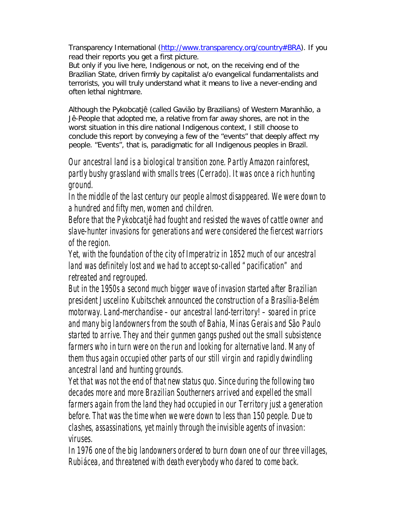Transparency International (http://www.transparency.org/country#BRA). If you read their reports you get a *first* picture.

But only if you live here, Indigenous or not, on the receiving end of the Brazilian State, driven firmly by capitalist a/o evangelical fundamentalists and terrorists, you will truly understand what it means to live a never-ending and often lethal nightmare.

Although the *Pykobcatjê* (called *Gavião* by Brazilians) of Western Maranhão, a Jê-People that adopted me, a relative from far away shores, are not in the worst situation in this dire national Indigenous context, I still choose to conclude this report by conveying a few of the "events" that deeply affect my people. "Events", that is, paradigmatic for all Indigenous peoples in Brazil.

*Our ancestral land is a biological transition zone. Partly Amazon rainforest, partly bushy grassland with smalls trees (Cerrado). It was once a rich hunting ground.*

*In the middle of the last century our people almost disappeared. We were down to a hundred and fifty men, women and children.*

*Before that the Pykobcatjê had fought and resisted the waves of cattle owner and slave-hunter invasions for generations and were considered the fiercest warriors of the region.*

*Yet, with the foundation of the city of Imperatriz in 1852 much of our ancestral land was definitely lost and we had to accept so-called "pacification" and retreated and regrouped.* 

*But in the 1950s a second much bigger wave of invasion started after Brazilian president Juscelino Kubitschek announced the construction of a Brasília-Belém motorway. Land-merchandise – our ancestral land-territory! – soared in price and many big landowners from the south of Bahia, Minas Gerais and São Paulo started to arrive. They and their gunmen gangs pushed out the small subsistence farmers who in turn were on the run and looking for alternative land. Many of them thus again occupied other parts of our still virgin and rapidly dwindling ancestral land and hunting grounds.*

*Yet that was not the end of that new status quo. Since during the following two decades more and more Brazilian Southerners arrived and expelled the small farmers again from the land they had occupied in our Territory just a generation before. That was the time when we were down to less than 150 people. Due to clashes, assassinations, yet mainly through the invisible agents of invasion: viruses.* 

*In 1976 one of the big landowners ordered to burn down one of our three villages, Rubiácea, and threatened with death everybody who dared to come back.*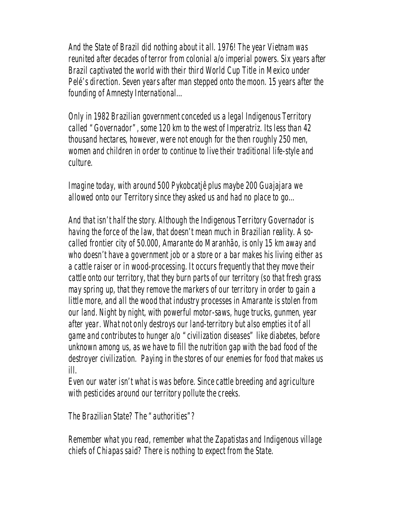*And the State of Brazil did nothing about it all. 1976! The year Vietnam was reunited after decades of terror from colonial a/o imperial powers. Six years after Brazil captivated the world with their third World Cup Title in Mexico under Pelé's direction. Seven years after man stepped onto the moon. 15 years after the founding of Amnesty International…*

*Only in 1982 Brazilian government conceded us a legal Indigenous Territory called "Governador", some 120 km to the west of Imperatriz. Its less than 42 thousand hectares, however, were not enough for the then roughly 250 men, women and children in order to continue to live their traditional life-style and culture.*

*Imagine today, with around 500 Pykobcatjê plus maybe 200 Guajajara we allowed onto our Territory since they asked us and had no place to go…*

*And that isn't half the story. Although the Indigenous Territory Governador is having the force of the law, that doesn't mean much in Brazilian reality. A socalled frontier city of 50.000, Amarante do Maranhão, is only 15 km away and who doesn't have a government job or a store or a bar makes his living either as a cattle raiser or in wood-processing. It occurs frequently that they move their cattle onto our territory, that they burn parts of our territory (so that fresh grass may spring up, that they remove the markers of our territory in order to gain a little more, and all the wood that industry processes in Amarante is stolen from our land. Night by night, with powerful motor-saws, huge trucks, gunmen, year after year. What not only destroys our land-territory but also empties it of all game and contributes to hunger a/o "civilization diseases" like diabetes, before unknown among us, as we have to fill the nutrition gap with the bad food of the destroyer civilization. Paying in the stores of our enemies for food that makes us ill.*

*Even our water isn't what is was before. Since cattle breeding and agriculture with pesticides around our territory pollute the creeks.*

*The Brazilian State? The "authorities"?* 

*Remember what you read, remember what the Zapatistas and Indigenous village chiefs of Chiapas said? There is nothing to expect from the State.*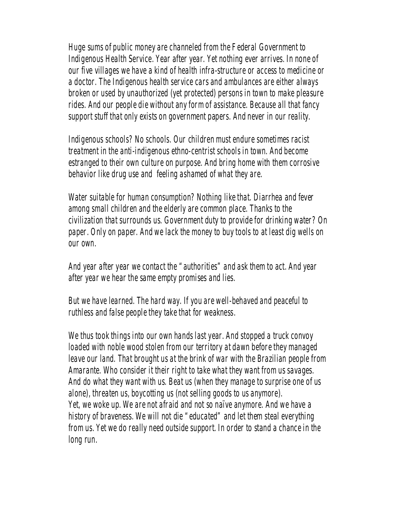*Huge sums of public money are channeled from the Federal Government to Indigenous Health Service. Year after year. Yet nothing ever arrives. In none of our five villages we have a kind of health infra-structure or access to medicine or a doctor. The Indigenous health service cars and ambulances are either always broken or used by unauthorized (yet protected) persons in town to make pleasure rides. And our people die without any form of assistance. Because all that fancy support stuff that only exists on government papers. And never in our reality.*

*Indigenous schools? No schools. Our children must endure sometimes racist treatment in the anti-indigenous ethno-centrist schools in town. And become estranged to their own culture on purpose. And bring home with them corrosive behavior like drug use and feeling ashamed of what they are.*

*Water suitable for human consumption? Nothing like that. Diarrhea and fever among small children and the elderly are common place. Thanks to the civilization that surrounds us. Government duty to provide for drinking water? On paper. Only on paper. And we lack the money to buy tools to at least dig wells on our own.*

*And year after year we contact the "authorities" and ask them to act. And year after year we hear the same empty promises and lies.*

*But we have learned. The hard way. If you are well-behaved and peaceful to ruthless and false people they take that for weakness.* 

*We thus took things into our own hands last year. And stopped a truck convoy loaded with noble wood stolen from our territory at dawn before they managed leave our land. That brought us at the brink of war with the Brazilian people from Amarante. Who consider it their right to take what they want from us savages. And do what they want with us. Beat us (when they manage to surprise one of us alone), threaten us, boycotting us (not selling goods to us anymore). Yet, we woke up. We are not afraid and not so naïve anymore. And we have a history of braveness. We will not die "educated" and let them steal everything from us. Yet we do really need outside support. In order to stand a chance in the long run.*